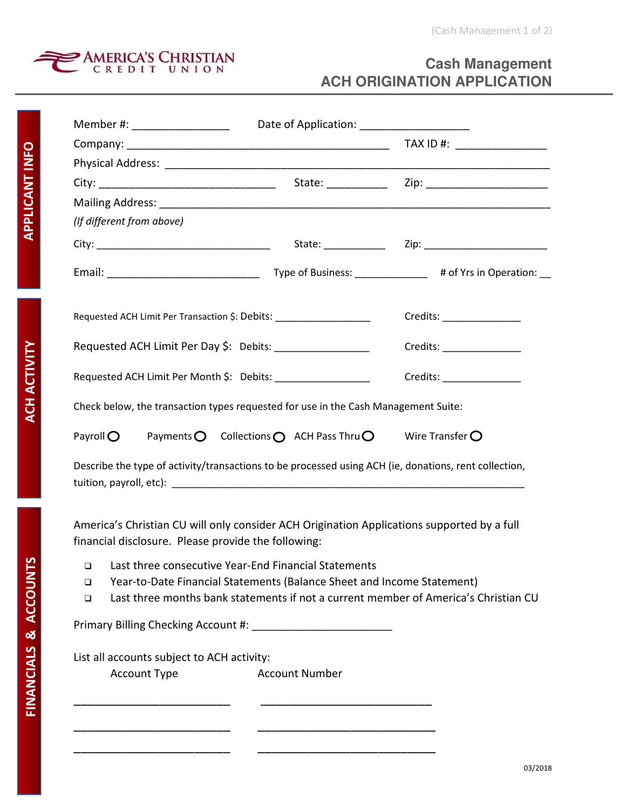

## **Cash Management ACH ORIGINATION APPLICATION**

| Member #: ______________________                                                                                                                             |                       |                                                                                     |  |  |
|--------------------------------------------------------------------------------------------------------------------------------------------------------------|-----------------------|-------------------------------------------------------------------------------------|--|--|
|                                                                                                                                                              |                       |                                                                                     |  |  |
|                                                                                                                                                              |                       |                                                                                     |  |  |
|                                                                                                                                                              |                       |                                                                                     |  |  |
|                                                                                                                                                              |                       |                                                                                     |  |  |
| (If different from above)                                                                                                                                    |                       |                                                                                     |  |  |
|                                                                                                                                                              |                       |                                                                                     |  |  |
|                                                                                                                                                              |                       |                                                                                     |  |  |
| Requested ACH Limit Per Transaction \$: Debits: ___________________                                                                                          |                       |                                                                                     |  |  |
| Requested ACH Limit Per Day \$: Debits: ___________________                                                                                                  |                       | Credits: ________________                                                           |  |  |
| Requested ACH Limit Per Month \$: Debits: _________________                                                                                                  |                       |                                                                                     |  |  |
| Check below, the transaction types requested for use in the Cash Management Suite:                                                                           |                       |                                                                                     |  |  |
| Payments $\bigcirc$ Collections $\bigcirc$ ACH Pass Thru $\bigcirc$ Wire Transfer $\bigcirc$<br>Payroll $\bigcirc$                                           |                       |                                                                                     |  |  |
| Describe the type of activity/transactions to be processed using ACH (ie, donations, rent collection,                                                        |                       |                                                                                     |  |  |
| America's Christian CU will only consider ACH Origination Applications supported by a full<br>financial disclosure. Please provide the following:            |                       |                                                                                     |  |  |
| Last three consecutive Year-End Financial Statements<br>$\Box$<br>Year-to-Date Financial Statements (Balance Sheet and Income Statement)<br>$\Box$<br>$\Box$ |                       | Last three months bank statements if not a current member of America's Christian CU |  |  |
|                                                                                                                                                              |                       |                                                                                     |  |  |
| List all accounts subject to ACH activity:                                                                                                                   |                       |                                                                                     |  |  |
| <b>Account Type</b>                                                                                                                                          | <b>Account Number</b> |                                                                                     |  |  |
|                                                                                                                                                              |                       |                                                                                     |  |  |

\_\_\_\_\_\_\_\_\_\_\_\_\_\_\_\_\_\_\_\_\_\_ \_\_\_\_\_\_\_\_\_\_\_\_\_\_\_\_\_\_\_\_\_\_\_\_\_

\_\_\_\_\_\_\_\_\_\_\_\_\_\_\_\_\_\_\_\_\_\_ \_\_\_\_\_\_\_\_\_\_\_\_\_\_\_\_\_\_\_\_\_\_\_\_\_